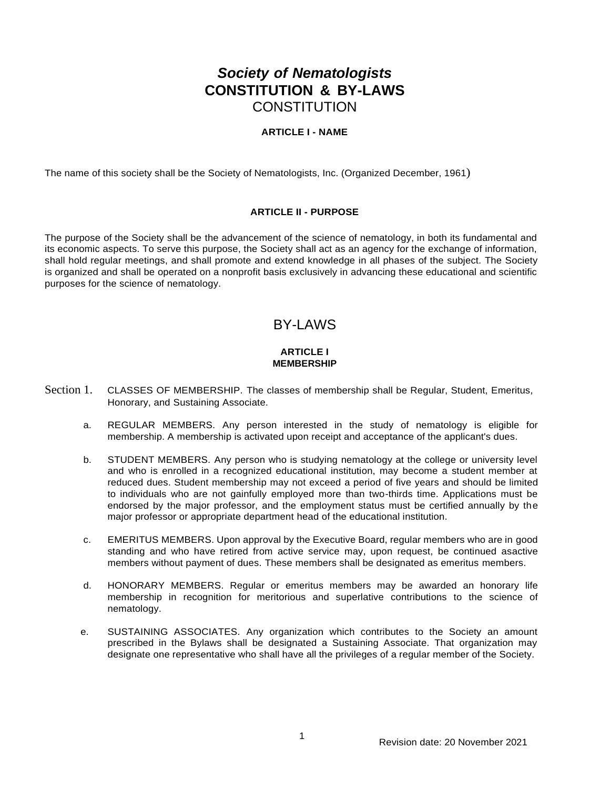# *Society of Nematologists* **CONSTITUTION & BY-LAWS CONSTITUTION**

## **ARTICLE I - NAME**

The name of this society shall be the Society of Nematologists, Inc. (Organized December, 1961)

## **ARTICLE II - PURPOSE**

The purpose of the Society shall be the advancement of the science of nematology, in both its fundamental and its economic aspects. To serve this purpose, the Society shall act as an agency for the exchange of information, shall hold regular meetings, and shall promote and extend knowledge in all phases of the subject. The Society is organized and shall be operated on a nonprofit basis exclusively in advancing these educational and scientific purposes for the science of nematology.

## BY-LAWS

#### **ARTICLE I MEMBERSHIP**

- Section 1. CLASSES OF MEMBERSHIP. The classes of membership shall be Regular, Student, Emeritus, Honorary, and Sustaining Associate.
	- a. REGULAR MEMBERS. Any person interested in the study of nematology is eligible for membership. A membership is activated upon receipt and acceptance of the applicant's dues.
	- b. STUDENT MEMBERS. Any person who is studying nematology at the college or university level and who is enrolled in a recognized educational institution, may become a student member at reduced dues. Student membership may not exceed a period of five years and should be limited to individuals who are not gainfully employed more than two-thirds time. Applications must be endorsed by the major professor, and the employment status must be certified annually by the major professor or appropriate department head of the educational institution.
	- c. EMERITUS MEMBERS. Upon approval by the Executive Board, regular members who are in good standing and who have retired from active service may, upon request, be continued asactive members without payment of dues. These members shall be designated as emeritus members.
	- d. HONORARY MEMBERS. Regular or emeritus members may be awarded an honorary life membership in recognition for meritorious and superlative contributions to the science of nematology.
	- e. SUSTAINING ASSOCIATES. Any organization which contributes to the Society an amount prescribed in the Bylaws shall be designated a Sustaining Associate. That organization may designate one representative who shall have all the privileges of a regular member of the Society.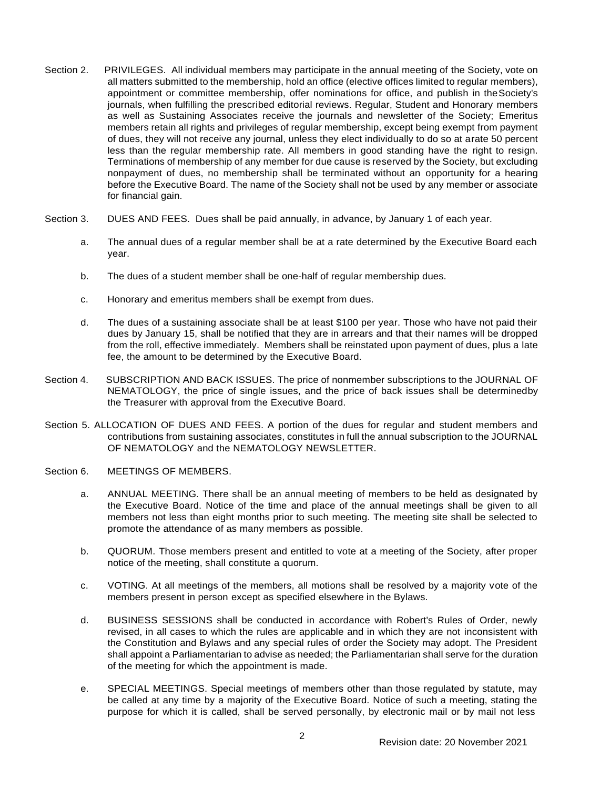- Section 2. PRIVILEGES. All individual members may participate in the annual meeting of the Society, vote on all matters submitted to the membership, hold an office (elective offices limited to regular members), appointment or committee membership, offer nominations for office, and publish in theSociety's journals, when fulfilling the prescribed editorial reviews. Regular, Student and Honorary members as well as Sustaining Associates receive the journals and newsletter of the Society; Emeritus members retain all rights and privileges of regular membership, except being exempt from payment of dues, they will not receive any journal, unless they elect individually to do so at arate 50 percent less than the regular membership rate. All members in good standing have the right to resign. Terminations of membership of any member for due cause is reserved by the Society, but excluding nonpayment of dues, no membership shall be terminated without an opportunity for a hearing before the Executive Board. The name of the Society shall not be used by any member or associate for financial gain.
- Section 3. DUES AND FEES. Dues shall be paid annually, in advance, by January 1 of each year.
	- a. The annual dues of a regular member shall be at a rate determined by the Executive Board each year.
	- b. The dues of a student member shall be one-half of regular membership dues.
	- c. Honorary and emeritus members shall be exempt from dues.
	- d. The dues of a sustaining associate shall be at least \$100 per year. Those who have not paid their dues by January 15, shall be notified that they are in arrears and that their names will be dropped from the roll, effective immediately. Members shall be reinstated upon payment of dues, plus a late fee, the amount to be determined by the Executive Board.
- Section 4. SUBSCRIPTION AND BACK ISSUES. The price of nonmember subscriptions to the JOURNAL OF NEMATOLOGY, the price of single issues, and the price of back issues shall be determinedby the Treasurer with approval from the Executive Board.
- Section 5. ALLOCATION OF DUES AND FEES. A portion of the dues for regular and student members and contributions from sustaining associates, constitutes in full the annual subscription to the JOURNAL OF NEMATOLOGY and the NEMATOLOGY NEWSLETTER.
- Section 6. MEETINGS OF MEMBERS.
	- a. ANNUAL MEETING. There shall be an annual meeting of members to be held as designated by the Executive Board. Notice of the time and place of the annual meetings shall be given to all members not less than eight months prior to such meeting. The meeting site shall be selected to promote the attendance of as many members as possible.
	- b. QUORUM. Those members present and entitled to vote at a meeting of the Society, after proper notice of the meeting, shall constitute a quorum.
	- c. VOTING. At all meetings of the members, all motions shall be resolved by a majority vote of the members present in person except as specified elsewhere in the Bylaws.
	- d. BUSINESS SESSIONS shall be conducted in accordance with Robert's Rules of Order, newly revised, in all cases to which the rules are applicable and in which they are not inconsistent with the Constitution and Bylaws and any special rules of order the Society may adopt. The President shall appoint a Parliamentarian to advise as needed; the Parliamentarian shall serve for the duration of the meeting for which the appointment is made.
	- e. SPECIAL MEETINGS. Special meetings of members other than those regulated by statute, may be called at any time by a majority of the Executive Board. Notice of such a meeting, stating the purpose for which it is called, shall be served personally, by electronic mail or by mail not less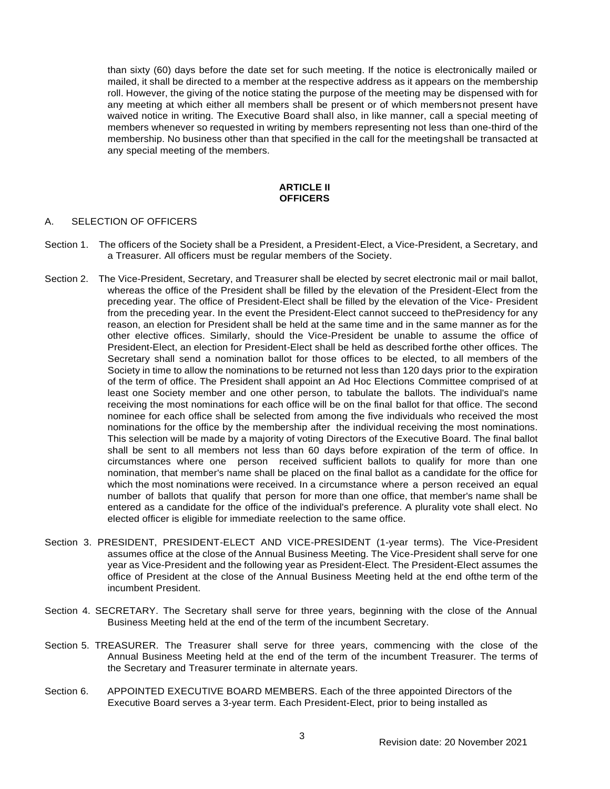than sixty (60) days before the date set for such meeting. If the notice is electronically mailed or mailed, it shall be directed to a member at the respective address as it appears on the membership roll. However, the giving of the notice stating the purpose of the meeting may be dispensed with for any meeting at which either all members shall be present or of which membersnot present have waived notice in writing. The Executive Board shall also, in like manner, call a special meeting of members whenever so requested in writing by members representing not less than one-third of the membership. No business other than that specified in the call for the meetingshall be transacted at any special meeting of the members.

#### **ARTICLE II OFFICERS**

## A. SELECTION OF OFFICERS

- Section 1. The officers of the Society shall be a President, a President-Elect, a Vice-President, a Secretary, and a Treasurer. All officers must be regular members of the Society.
- Section 2. The Vice-President, Secretary, and Treasurer shall be elected by secret electronic mail or mail ballot, whereas the office of the President shall be filled by the elevation of the President-Elect from the preceding year. The office of President-Elect shall be filled by the elevation of the Vice- President from the preceding year. In the event the President-Elect cannot succeed to thePresidency for any reason, an election for President shall be held at the same time and in the same manner as for the other elective offices. Similarly, should the Vice-President be unable to assume the office of President-Elect, an election for President-Elect shall be held as described forthe other offices. The Secretary shall send a nomination ballot for those offices to be elected, to all members of the Society in time to allow the nominations to be returned not less than 120 days prior to the expiration of the term of office. The President shall appoint an Ad Hoc Elections Committee comprised of at least one Society member and one other person, to tabulate the ballots. The individual's name receiving the most nominations for each office will be on the final ballot for that office. The second nominee for each office shall be selected from among the five individuals who received the most nominations for the office by the membership after the individual receiving the most nominations. This selection will be made by a majority of voting Directors of the Executive Board. The final ballot shall be sent to all members not less than 60 days before expiration of the term of office. In circumstances where one person received sufficient ballots to qualify for more than one nomination, that member's name shall be placed on the final ballot as a candidate for the office for which the most nominations were received. In a circumstance where a person received an equal number of ballots that qualify that person for more than one office, that member's name shall be entered as a candidate for the office of the individual's preference. A plurality vote shall elect. No elected officer is eligible for immediate reelection to the same office.
- Section 3. PRESIDENT, PRESIDENT-ELECT AND VICE-PRESIDENT (1-year terms). The Vice-President assumes office at the close of the Annual Business Meeting. The Vice-President shall serve for one year as Vice-President and the following year as President-Elect. The President-Elect assumes the office of President at the close of the Annual Business Meeting held at the end ofthe term of the incumbent President.
- Section 4. SECRETARY. The Secretary shall serve for three years, beginning with the close of the Annual Business Meeting held at the end of the term of the incumbent Secretary.
- Section 5. TREASURER. The Treasurer shall serve for three years, commencing with the close of the Annual Business Meeting held at the end of the term of the incumbent Treasurer. The terms of the Secretary and Treasurer terminate in alternate years.
- Section 6. APPOINTED EXECUTIVE BOARD MEMBERS. Each of the three appointed Directors of the Executive Board serves a 3-year term. Each President-Elect, prior to being installed as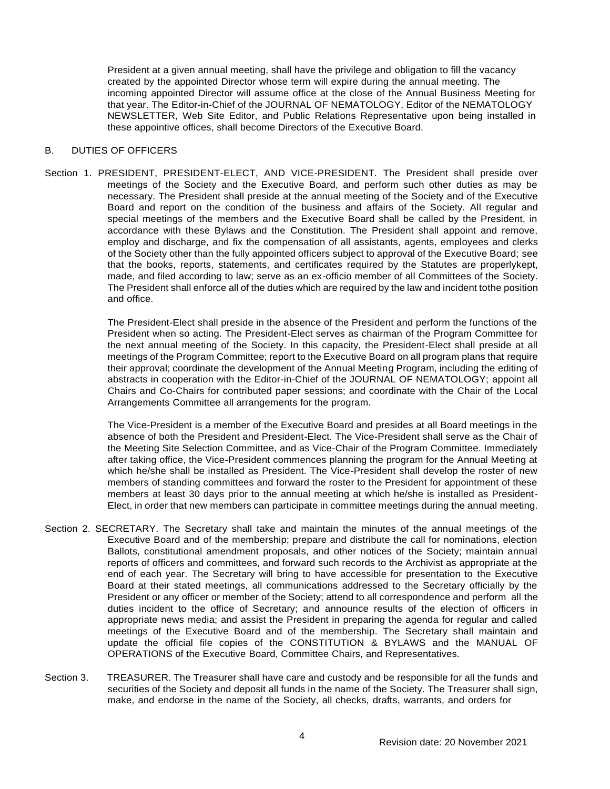President at a given annual meeting, shall have the privilege and obligation to fill the vacancy created by the appointed Director whose term will expire during the annual meeting. The incoming appointed Director will assume office at the close of the Annual Business Meeting for that year. The Editor-in-Chief of the JOURNAL OF NEMATOLOGY, Editor of the NEMATOLOGY NEWSLETTER, Web Site Editor, and Public Relations Representative upon being installed in these appointive offices, shall become Directors of the Executive Board.

## B. DUTIES OF OFFICERS

Section 1. PRESIDENT, PRESIDENT-ELECT, AND VICE-PRESIDENT. The President shall preside over meetings of the Society and the Executive Board, and perform such other duties as may be necessary. The President shall preside at the annual meeting of the Society and of the Executive Board and report on the condition of the business and affairs of the Society. All regular and special meetings of the members and the Executive Board shall be called by the President, in accordance with these Bylaws and the Constitution. The President shall appoint and remove, employ and discharge, and fix the compensation of all assistants, agents, employees and clerks of the Society other than the fully appointed officers subject to approval of the Executive Board; see that the books, reports, statements, and certificates required by the Statutes are properlykept, made, and filed according to law; serve as an ex-officio member of all Committees of the Society. The President shall enforce all of the duties which are required by the law and incident tothe position and office.

> The President-Elect shall preside in the absence of the President and perform the functions of the President when so acting. The President-Elect serves as chairman of the Program Committee for the next annual meeting of the Society. In this capacity, the President-Elect shall preside at all meetings of the Program Committee; report to the Executive Board on all program plans that require their approval; coordinate the development of the Annual Meeting Program, including the editing of abstracts in cooperation with the Editor-in-Chief of the JOURNAL OF NEMATOLOGY; appoint all Chairs and Co-Chairs for contributed paper sessions; and coordinate with the Chair of the Local Arrangements Committee all arrangements for the program.

> The Vice-President is a member of the Executive Board and presides at all Board meetings in the absence of both the President and President-Elect. The Vice-President shall serve as the Chair of the Meeting Site Selection Committee, and as Vice-Chair of the Program Committee. Immediately after taking office, the Vice-President commences planning the program for the Annual Meeting at which he/she shall be installed as President. The Vice-President shall develop the roster of new members of standing committees and forward the roster to the President for appointment of these members at least 30 days prior to the annual meeting at which he/she is installed as President-Elect, in order that new members can participate in committee meetings during the annual meeting.

- Section 2. SECRETARY. The Secretary shall take and maintain the minutes of the annual meetings of the Executive Board and of the membership; prepare and distribute the call for nominations, election Ballots, constitutional amendment proposals, and other notices of the Society; maintain annual reports of officers and committees, and forward such records to the Archivist as appropriate at the end of each year. The Secretary will bring to have accessible for presentation to the Executive Board at their stated meetings, all communications addressed to the Secretary officially by the President or any officer or member of the Society; attend to all correspondence and perform all the duties incident to the office of Secretary; and announce results of the election of officers in appropriate news media; and assist the President in preparing the agenda for regular and called meetings of the Executive Board and of the membership. The Secretary shall maintain and update the official file copies of the CONSTITUTION & BYLAWS and the MANUAL OF OPERATIONS of the Executive Board, Committee Chairs, and Representatives.
- Section 3. TREASURER. The Treasurer shall have care and custody and be responsible for all the funds and securities of the Society and deposit all funds in the name of the Society. The Treasurer shall sign, make, and endorse in the name of the Society, all checks, drafts, warrants, and orders for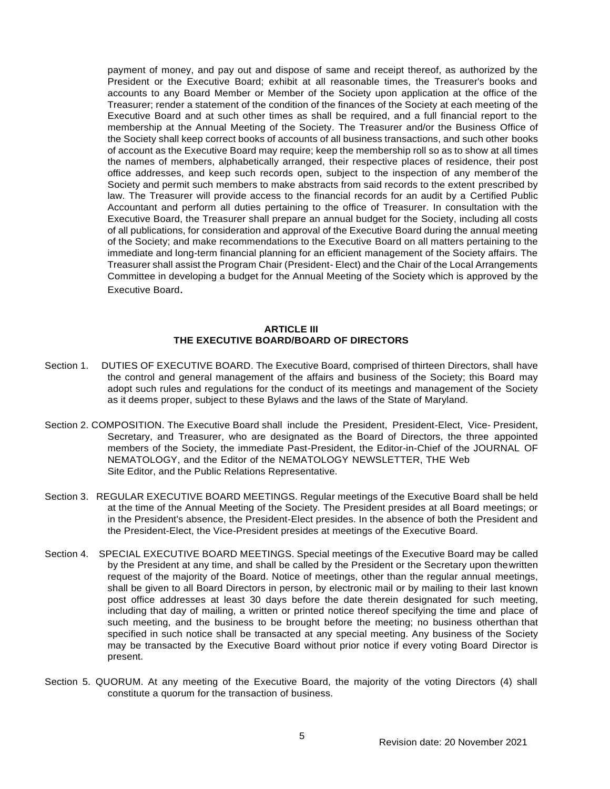payment of money, and pay out and dispose of same and receipt thereof, as authorized by the President or the Executive Board; exhibit at all reasonable times, the Treasurer's books and accounts to any Board Member or Member of the Society upon application at the office of the Treasurer; render a statement of the condition of the finances of the Society at each meeting of the Executive Board and at such other times as shall be required, and a full financial report to the membership at the Annual Meeting of the Society. The Treasurer and/or the Business Office of the Society shall keep correct books of accounts of all business transactions, and such other books of account as the Executive Board may require; keep the membership roll so as to show at all times the names of members, alphabetically arranged, their respective places of residence, their post office addresses, and keep such records open, subject to the inspection of any memberof the Society and permit such members to make abstracts from said records to the extent prescribed by law. The Treasurer will provide access to the financial records for an audit by a Certified Public Accountant and perform all duties pertaining to the office of Treasurer. In consultation with the Executive Board, the Treasurer shall prepare an annual budget for the Society, including all costs of all publications, for consideration and approval of the Executive Board during the annual meeting of the Society; and make recommendations to the Executive Board on all matters pertaining to the immediate and long-term financial planning for an efficient management of the Society affairs. The Treasurer shall assist the Program Chair (President- Elect) and the Chair of the Local Arrangements Committee in developing a budget for the Annual Meeting of the Society which is approved by the Executive Board.

## **ARTICLE III THE EXECUTIVE BOARD/BOARD OF DIRECTORS**

- Section 1. DUTIES OF EXECUTIVE BOARD. The Executive Board, comprised of thirteen Directors, shall have the control and general management of the affairs and business of the Society; this Board may adopt such rules and regulations for the conduct of its meetings and management of the Society as it deems proper, subject to these Bylaws and the laws of the State of Maryland.
- Section 2. COMPOSITION. The Executive Board shall include the President, President-Elect, Vice- President, Secretary, and Treasurer, who are designated as the Board of Directors, the three appointed members of the Society, the immediate Past-President, the Editor-in-Chief of the JOURNAL OF NEMATOLOGY, and the Editor of the NEMATOLOGY NEWSLETTER, THE Web Site Editor, and the Public Relations Representative.
- Section 3. REGULAR EXECUTIVE BOARD MEETINGS. Regular meetings of the Executive Board shall be held at the time of the Annual Meeting of the Society. The President presides at all Board meetings; or in the President's absence, the President-Elect presides. In the absence of both the President and the President-Elect, the Vice-President presides at meetings of the Executive Board.
- Section 4. SPECIAL EXECUTIVE BOARD MEETINGS. Special meetings of the Executive Board may be called by the President at any time, and shall be called by the President or the Secretary upon thewritten request of the majority of the Board. Notice of meetings, other than the regular annual meetings, shall be given to all Board Directors in person, by electronic mail or by mailing to their last known post office addresses at least 30 days before the date therein designated for such meeting, including that day of mailing, a written or printed notice thereof specifying the time and place of such meeting, and the business to be brought before the meeting; no business otherthan that specified in such notice shall be transacted at any special meeting. Any business of the Society may be transacted by the Executive Board without prior notice if every voting Board Director is present.
- Section 5. QUORUM. At any meeting of the Executive Board, the majority of the voting Directors (4) shall constitute a quorum for the transaction of business.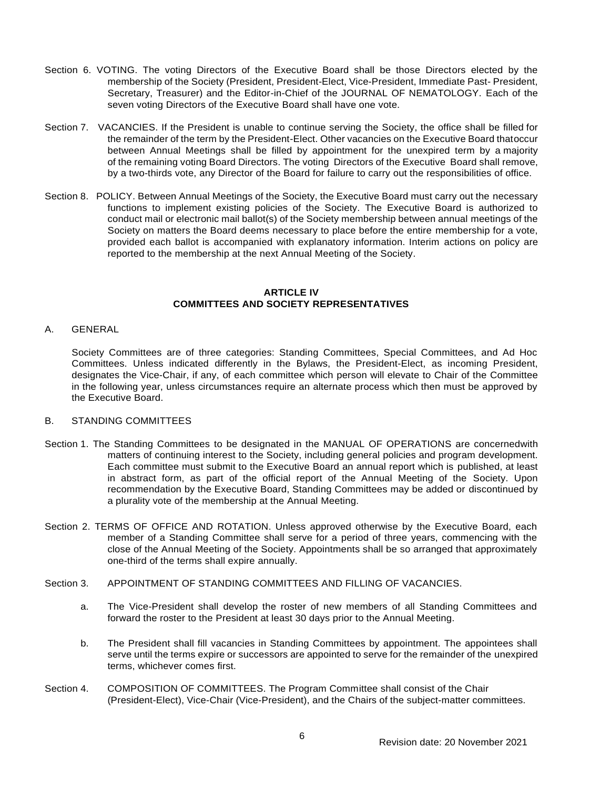- Section 6. VOTING. The voting Directors of the Executive Board shall be those Directors elected by the membership of the Society (President, President-Elect, Vice-President, Immediate Past- President, Secretary, Treasurer) and the Editor-in-Chief of the JOURNAL OF NEMATOLOGY. Each of the seven voting Directors of the Executive Board shall have one vote.
- Section 7. VACANCIES. If the President is unable to continue serving the Society, the office shall be filled for the remainder of the term by the President-Elect. Other vacancies on the Executive Board thatoccur between Annual Meetings shall be filled by appointment for the unexpired term by a majority of the remaining voting Board Directors. The voting Directors of the Executive Board shall remove, by a two-thirds vote, any Director of the Board for failure to carry out the responsibilities of office.
- Section 8. POLICY. Between Annual Meetings of the Society, the Executive Board must carry out the necessary functions to implement existing policies of the Society. The Executive Board is authorized to conduct mail or electronic mail ballot(s) of the Society membership between annual meetings of the Society on matters the Board deems necessary to place before the entire membership for a vote, provided each ballot is accompanied with explanatory information. Interim actions on policy are reported to the membership at the next Annual Meeting of the Society.

## **ARTICLE IV COMMITTEES AND SOCIETY REPRESENTATIVES**

A. GENERAL

Society Committees are of three categories: Standing Committees, Special Committees, and Ad Hoc Committees. Unless indicated differently in the Bylaws, the President-Elect, as incoming President, designates the Vice-Chair, if any, of each committee which person will elevate to Chair of the Committee in the following year, unless circumstances require an alternate process which then must be approved by the Executive Board.

#### B. STANDING COMMITTEES

- Section 1. The Standing Committees to be designated in the MANUAL OF OPERATIONS are concernedwith matters of continuing interest to the Society, including general policies and program development. Each committee must submit to the Executive Board an annual report which is published, at least in abstract form, as part of the official report of the Annual Meeting of the Society. Upon recommendation by the Executive Board, Standing Committees may be added or discontinued by a plurality vote of the membership at the Annual Meeting.
- Section 2. TERMS OF OFFICE AND ROTATION. Unless approved otherwise by the Executive Board, each member of a Standing Committee shall serve for a period of three years, commencing with the close of the Annual Meeting of the Society. Appointments shall be so arranged that approximately one-third of the terms shall expire annually.
- Section 3. APPOINTMENT OF STANDING COMMITTEES AND FILLING OF VACANCIES.
	- a. The Vice-President shall develop the roster of new members of all Standing Committees and forward the roster to the President at least 30 days prior to the Annual Meeting.
	- b. The President shall fill vacancies in Standing Committees by appointment. The appointees shall serve until the terms expire or successors are appointed to serve for the remainder of the unexpired terms, whichever comes first.
- Section 4. COMPOSITION OF COMMITTEES. The Program Committee shall consist of the Chair (President-Elect), Vice-Chair (Vice-President), and the Chairs of the subject-matter committees.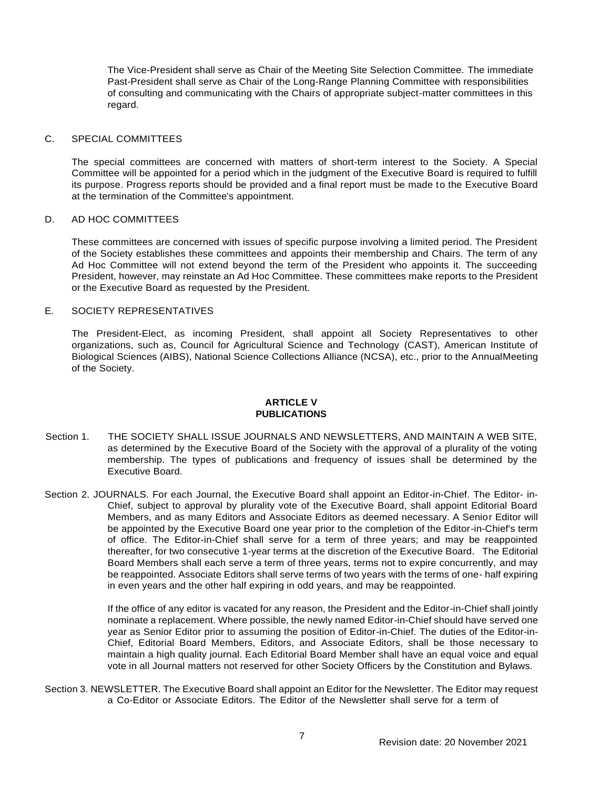The Vice-President shall serve as Chair of the Meeting Site Selection Committee. The immediate Past-President shall serve as Chair of the Long-Range Planning Committee with responsibilities of consulting and communicating with the Chairs of appropriate subject-matter committees in this regard.

#### C. SPECIAL COMMITTEES

The special committees are concerned with matters of short-term interest to the Society. A Special Committee will be appointed for a period which in the judgment of the Executive Board is required to fulfill its purpose. Progress reports should be provided and a final report must be made to the Executive Board at the termination of the Committee's appointment.

## D. AD HOC COMMITTEES

These committees are concerned with issues of specific purpose involving a limited period. The President of the Society establishes these committees and appoints their membership and Chairs. The term of any Ad Hoc Committee will not extend beyond the term of the President who appoints it. The succeeding President, however, may reinstate an Ad Hoc Committee. These committees make reports to the President or the Executive Board as requested by the President.

## E. SOCIETY REPRESENTATIVES

The President-Elect, as incoming President, shall appoint all Society Representatives to other organizations, such as, Council for Agricultural Science and Technology (CAST), American Institute of Biological Sciences (AIBS), National Science Collections Alliance (NCSA), etc., prior to the AnnualMeeting of the Society.

## **ARTICLE V PUBLICATIONS**

- Section 1. THE SOCIETY SHALL ISSUE JOURNALS AND NEWSLETTERS, AND MAINTAIN A WEB SITE, as determined by the Executive Board of the Society with the approval of a plurality of the voting membership. The types of publications and frequency of issues shall be determined by the Executive Board.
- Section 2. JOURNALS. For each Journal, the Executive Board shall appoint an Editor-in-Chief. The Editor- in-Chief, subject to approval by plurality vote of the Executive Board, shall appoint Editorial Board Members, and as many Editors and Associate Editors as deemed necessary. A Senior Editor will be appointed by the Executive Board one year prior to the completion of the Editor-in-Chief's term of office. The Editor-in-Chief shall serve for a term of three years; and may be reappointed thereafter, for two consecutive 1-year terms at the discretion of the Executive Board. The Editorial Board Members shall each serve a term of three years, terms not to expire concurrently, and may be reappointed. Associate Editors shall serve terms of two years with the terms of one- half expiring in even years and the other half expiring in odd years, and may be reappointed.

If the office of any editor is vacated for any reason, the President and the Editor-in-Chief shall jointly nominate a replacement. Where possible, the newly named Editor-in-Chief should have served one year as Senior Editor prior to assuming the position of Editor-in-Chief. The duties of the Editor-in-Chief, Editorial Board Members, Editors, and Associate Editors, shall be those necessary to maintain a high quality journal. Each Editorial Board Member shall have an equal voice and equal vote in all Journal matters not reserved for other Society Officers by the Constitution and Bylaws.

Section 3. NEWSLETTER. The Executive Board shall appoint an Editor for the Newsletter. The Editor may request a Co-Editor or Associate Editors. The Editor of the Newsletter shall serve for a term of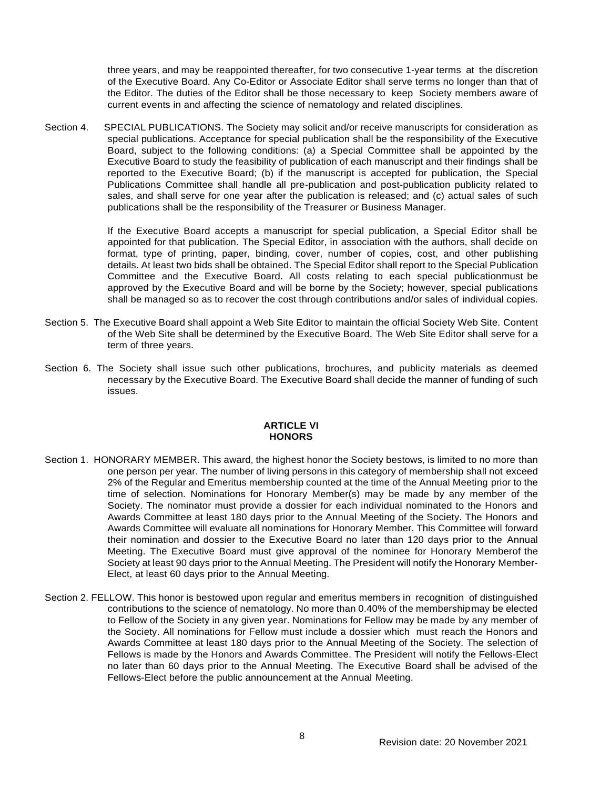three years, and may be reappointed thereafter, for two consecutive 1-year terms at the discretion of the Executive Board. Any Co-Editor or Associate Editor shall serve terms no longer than that of the Editor. The duties of the Editor shall be those necessary to keep Society members aware of current events in and affecting the science of nematology and related disciplines.

Section 4. SPECIAL PUBLICATIONS. The Society may solicit and/or receive manuscripts for consideration as special publications. Acceptance for special publication shall be the responsibility of the Executive Board, subject to the following conditions: (a) a Special Committee shall be appointed by the Executive Board to study the feasibility of publication of each manuscript and their findings shall be reported to the Executive Board; (b) if the manuscript is accepted for publication, the Special Publications Committee shall handle all pre-publication and post-publication publicity related to sales, and shall serve for one year after the publication is released; and (c) actual sales of such publications shall be the responsibility of the Treasurer or Business Manager.

> If the Executive Board accepts a manuscript for special publication, a Special Editor shall be appointed for that publication. The Special Editor, in association with the authors, shall decide on format, type of printing, paper, binding, cover, number of copies, cost, and other publishing details. At least two bids shall be obtained. The Special Editor shall report to the Special Publication Committee and the Executive Board. All costs relating to each special publicationmust be approved by the Executive Board and will be borne by the Society; however, special publications shall be managed so as to recover the cost through contributions and/or sales of individual copies.

- Section 5. The Executive Board shall appoint a Web Site Editor to maintain the official Society Web Site. Content of the Web Site shall be determined by the Executive Board. The Web Site Editor shall serve for a term of three years.
- Section 6. The Society shall issue such other publications, brochures, and publicity materials as deemed necessary by the Executive Board. The Executive Board shall decide the manner of funding of such issues.

## **ARTICLE VI HONORS**

- Section 1. HONORARY MEMBER. This award, the highest honor the Society bestows, is limited to no more than one person per year. The number of living persons in this category of membership shall not exceed 2% of the Regular and Emeritus membership counted at the time of the Annual Meeting prior to the time of selection. Nominations for Honorary Member(s) may be made by any member of the Society. The nominator must provide a dossier for each individual nominated to the Honors and Awards Committee at least 180 days prior to the Annual Meeting of the Society. The Honors and Awards Committee will evaluate all nominations for Honorary Member. This Committee will forward their nomination and dossier to the Executive Board no later than 120 days prior to the Annual Meeting. The Executive Board must give approval of the nominee for Honorary Memberof the Society at least 90 days prior to the Annual Meeting. The President will notify the Honorary Member-Elect, at least 60 days prior to the Annual Meeting.
- Section 2. FELLOW. This honor is bestowed upon regular and emeritus members in recognition of distinguished contributions to the science of nematology. No more than 0.40% of the membershipmay be elected to Fellow of the Society in any given year. Nominations for Fellow may be made by any member of the Society. All nominations for Fellow must include a dossier which must reach the Honors and Awards Committee at least 180 days prior to the Annual Meeting of the Society. The selection of Fellows is made by the Honors and Awards Committee. The President will notify the Fellows-Elect no later than 60 days prior to the Annual Meeting. The Executive Board shall be advised of the Fellows-Elect before the public announcement at the Annual Meeting.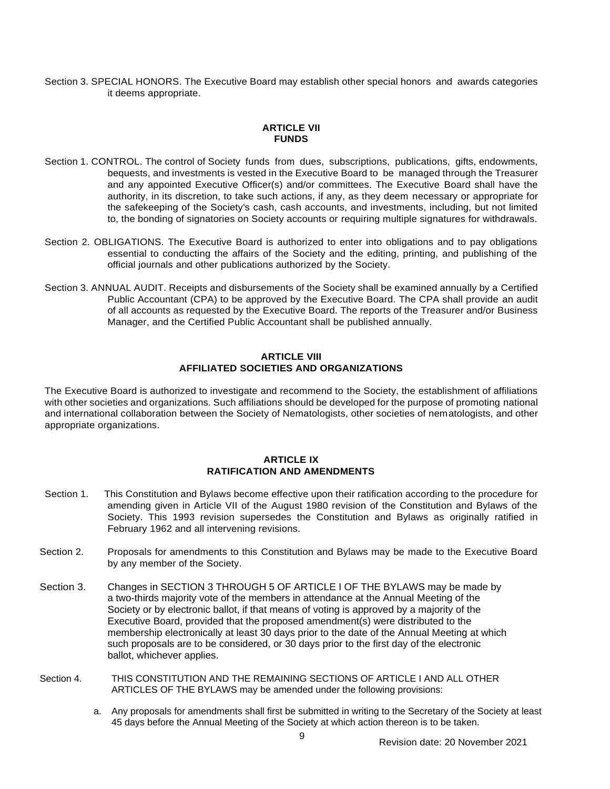Section 3. SPECIAL HONORS. The Executive Board may establish other special honors and awards categories it deems appropriate.

## **ARTICLE VII FUNDS**

- Section 1. CONTROL. The control of Society funds from dues, subscriptions, publications, gifts, endowments, bequests, and investments is vested in the Executive Board to be managed through the Treasurer and any appointed Executive Officer(s) and/or committees. The Executive Board shall have the authority, in its discretion, to take such actions, if any, as they deem necessary or appropriate for the safekeeping of the Society's cash, cash accounts, and investments, including, but not limited to, the bonding of signatories on Society accounts or requiring multiple signatures for withdrawals.
- Section 2. OBLIGATIONS. The Executive Board is authorized to enter into obligations and to pay obligations essential to conducting the affairs of the Society and the editing, printing, and publishing of the official journals and other publications authorized by the Society.
- Section 3. ANNUAL AUDIT. Receipts and disbursements of the Society shall be examined annually by a Certified Public Accountant (CPA) to be approved by the Executive Board. The CPA shall provide an audit of all accounts as requested by the Executive Board. The reports of the Treasurer and/or Business Manager, and the Certified Public Accountant shall be published annually.

#### **ARTICLE VIII AFFILIATED SOCIETIES AND ORGANIZATIONS**

The Executive Board is authorized to investigate and recommend to the Society, the establishment of affiliations with other societies and organizations. Such affiliations should be developed for the purpose of promoting national and international collaboration between the Society of Nematologists, other societies of nematologists, and other appropriate organizations.

## **ARTICLE IX RATIFICATION AND AMENDMENTS**

- Section 1. This Constitution and Bylaws become effective upon their ratification according to the procedure for amending given in Article VII of the August 1980 revision of the Constitution and Bylaws of the Society. This 1993 revision supersedes the Constitution and Bylaws as originally ratified in February 1962 and all intervening revisions.
- Section 2. Proposals for amendments to this Constitution and Bylaws may be made to the Executive Board by any member of the Society.
- Section 3. Changes in SECTION 3 THROUGH 5 OF ARTICLE I OF THE BYLAWS may be made by a two-thirds majority vote of the members in attendance at the Annual Meeting of the Society or by electronic ballot, if that means of voting is approved by a majority of the Executive Board, provided that the proposed amendment(s) were distributed to the membership electronically at least 30 days prior to the date of the Annual Meeting at which such proposals are to be considered, or 30 days prior to the first day of the electronic ballot, whichever applies.
- Section 4. THIS CONSTITUTION AND THE REMAINING SECTIONS OF ARTICLE I AND ALL OTHER ARTICLES OF THE BYLAWS may be amended under the following provisions:
	- a. Any proposals for amendments shall first be submitted in writing to the Secretary of the Society at least 45 days before the Annual Meeting of the Society at which action thereon is to be taken.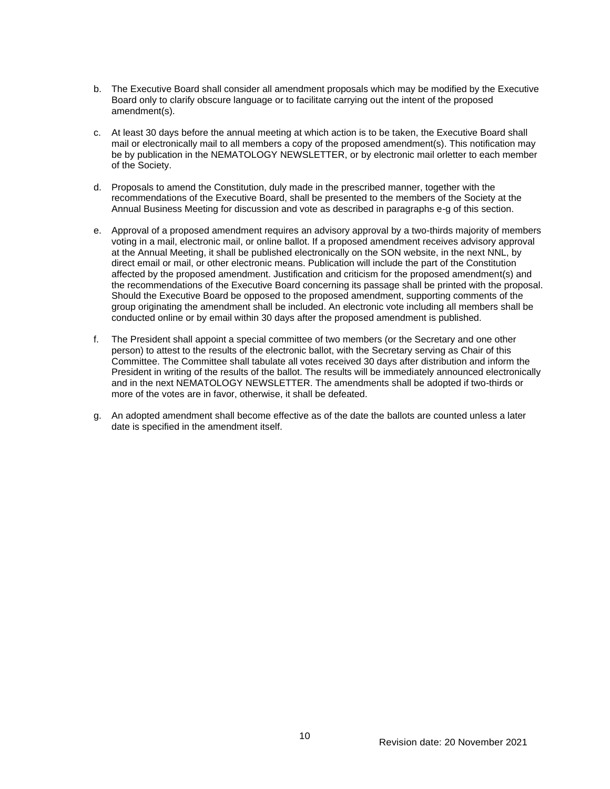- b. The Executive Board shall consider all amendment proposals which may be modified by the Executive Board only to clarify obscure language or to facilitate carrying out the intent of the proposed amendment(s).
- c. At least 30 days before the annual meeting at which action is to be taken, the Executive Board shall mail or electronically mail to all members a copy of the proposed amendment(s). This notification may be by publication in the NEMATOLOGY NEWSLETTER, or by electronic mail orletter to each member of the Society.
- d. Proposals to amend the Constitution, duly made in the prescribed manner, together with the recommendations of the Executive Board, shall be presented to the members of the Society at the Annual Business Meeting for discussion and vote as described in paragraphs e-g of this section.
- e. Approval of a proposed amendment requires an advisory approval by a two-thirds majority of members voting in a mail, electronic mail, or online ballot. If a proposed amendment receives advisory approval at the Annual Meeting, it shall be published electronically on the SON website, in the next NNL, by direct email or mail, or other electronic means. Publication will include the part of the Constitution affected by the proposed amendment. Justification and criticism for the proposed amendment(s) and the recommendations of the Executive Board concerning its passage shall be printed with the proposal. Should the Executive Board be opposed to the proposed amendment, supporting comments of the group originating the amendment shall be included. An electronic vote including all members shall be conducted online or by email within 30 days after the proposed amendment is published.
- f. The President shall appoint a special committee of two members (or the Secretary and one other person) to attest to the results of the electronic ballot, with the Secretary serving as Chair of this Committee. The Committee shall tabulate all votes received 30 days after distribution and inform the President in writing of the results of the ballot. The results will be immediately announced electronically and in the next NEMATOLOGY NEWSLETTER. The amendments shall be adopted if two-thirds or more of the votes are in favor, otherwise, it shall be defeated.
- g. An adopted amendment shall become effective as of the date the ballots are counted unless a later date is specified in the amendment itself.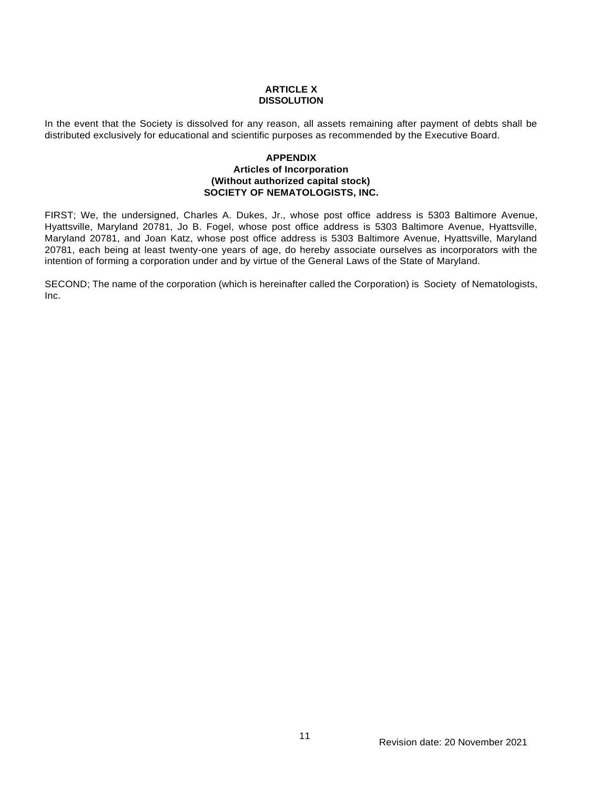## **ARTICLE X DISSOLUTION**

In the event that the Society is dissolved for any reason, all assets remaining after payment of debts shall be distributed exclusively for educational and scientific purposes as recommended by the Executive Board.

## **APPENDIX Articles of Incorporation (Without authorized capital stock) SOCIETY OF NEMATOLOGISTS, INC.**

FIRST; We, the undersigned, Charles A. Dukes, Jr., whose post office address is 5303 Baltimore Avenue, Hyattsville, Maryland 20781, Jo B. Fogel, whose post office address is 5303 Baltimore Avenue, Hyattsville, Maryland 20781, and Joan Katz, whose post office address is 5303 Baltimore Avenue, Hyattsville, Maryland 20781, each being at least twenty-one years of age, do hereby associate ourselves as incorporators with the intention of forming a corporation under and by virtue of the General Laws of the State of Maryland.

SECOND; The name of the corporation (which is hereinafter called the Corporation) is Society of Nematologists, Inc.